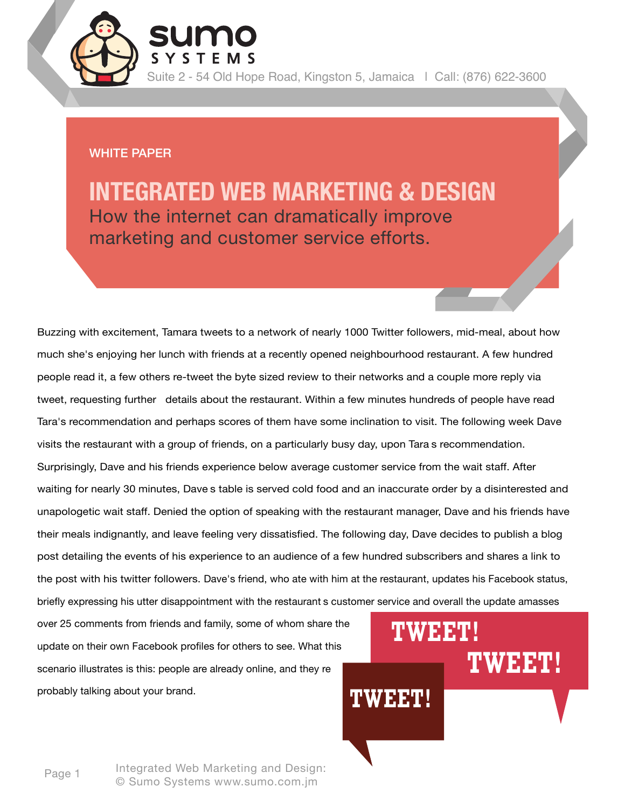Suite 2 - 54 Old Hope Road, Kingston 5, Jamaica | Call: (876) 622-3600

#### WHITE PAPER

**INTEGRATED WEB MARKETING & DESIGN** How the internet can dramatically improve marketing and customer service efforts.

Buzzing with excitement, Tamara tweets to a network of nearly 1000 Twitter followers, mid-meal, about how much she's enjoying her lunch with friends at a recently opened neighbourhood restaurant. A few hundred people read it, a few others re-tweet the byte sized review to their networks and a couple more reply via tweet, requesting further details about the restaurant. Within a few minutes hundreds of people have read Tara's recommendation and perhaps scores of them have some inclination to visit. The following week Dave visits the restaurant with a group of friends, on a particularly busy day, upon Tara s recommendation. Surprisingly, Dave and his friends experience below average customer service from the wait staff. After waiting for nearly 30 minutes, Dave s table is served cold food and an inaccurate order by a disinterested and unapologetic wait staff. Denied the option of speaking with the restaurant manager, Dave and his friends have their meals indignantly, and leave feeling very dissatisfied. The following day, Dave decides to publish a blog post detailing the events of his experience to an audience of a few hundred subscribers and shares a link to the post with his twitter followers. Dave's friend, who ate with him at the restaurant, updates his Facebook status, briefly expressing his utter disappointment with the restaurant s customer service and overall the update amasses

over 25 comments from friends and family, some of whom share the update on their own Facebook profiles for others to see. What this scenario illustrates is this: people are already online, and they re probably talking about your brand.

# **TWEET! TWEET! TWEET!**

Page 1 Integrated Web Marketing and Design: © Sumo Systems www.sumo.com.jm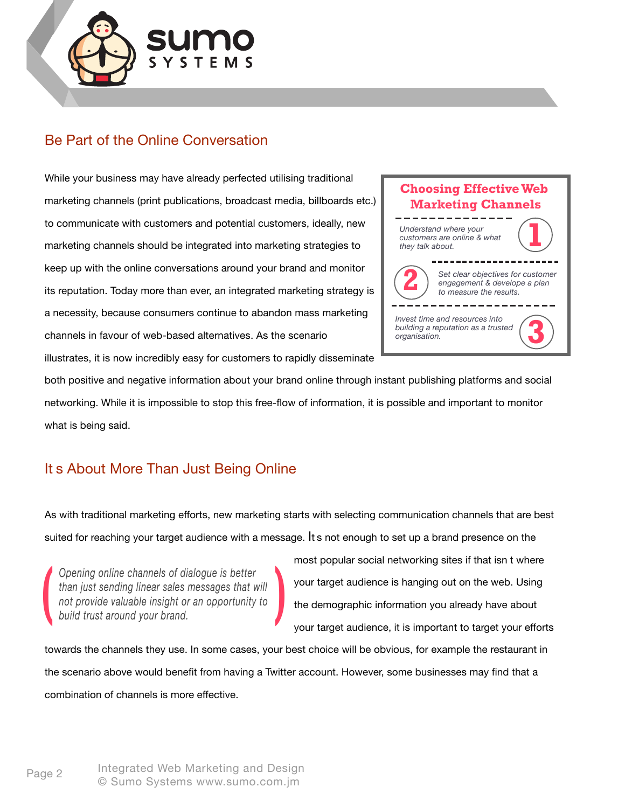

## Be Part of the Online Conversation

While your business may have already perfected utilising traditional marketing channels (print publications, broadcast media, billboards etc.) to communicate with customers and potential customers, ideally, new marketing channels should be integrated into marketing strategies to keep up with the online conversations around your brand and monitor its reputation. Today more than ever, an integrated marketing strategy is a necessity, because consumers continue to abandon mass marketing channels in favour of web-based alternatives. As the scenario



illustrates, it is now incredibly easy for customers to rapidly disseminate

both positive and negative information about your brand online through instant publishing platforms and social networking. While it is impossible to stop this free-flow of information, it is possible and important to monitor what is being said.

### It s About More Than Just Being Online

As with traditional marketing efforts, new marketing starts with selecting communication channels that are best suited for reaching your target audience with a message. It s not enough to set up a brand presence on the

*Channels of dialogue is better than just sending linear sales messages that will not provide valuable insight or an opportunity to build trust around vour brand. than just sending linear sales messages that will not provide valuable insight or an opportunity to build trust around your brand.*

most popular social networking sites if that isn t where your target audience is hanging out on the web. Using the demographic information you already have about your target audience, it is important to target your efforts

towards the channels they use. In some cases, your best choice will be obvious, for example the restaurant in the scenario above would benefit from having a Twitter account. However, some businesses may find that a combination of channels is more effective.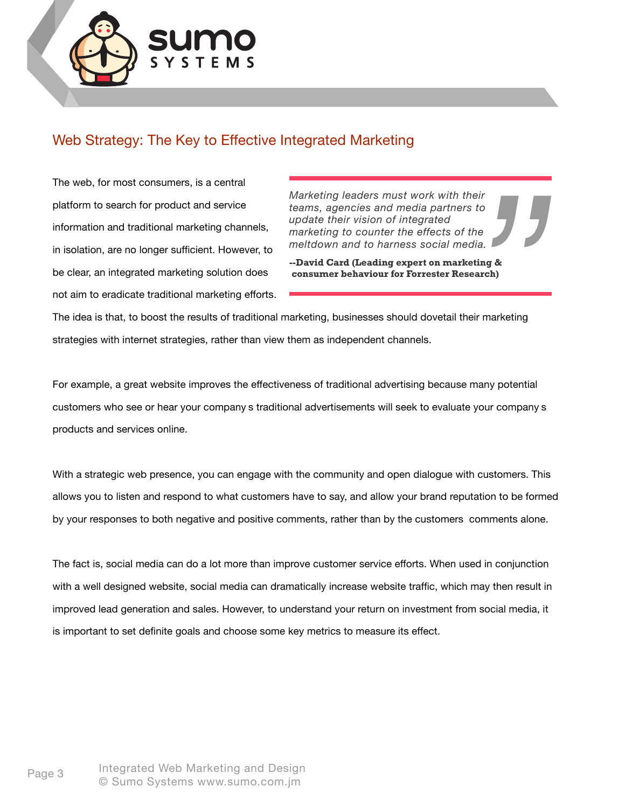

# Web Strategy: The Key to Effective Integrated Marketing

The web, for most consumers, is a central platform to search for product and service information and traditional marketing channels, in isolation, are no longer sufficient. However, to be clear, an integrated marketing solution does not aim to eradicate traditional marketing efforts.

*Marketing leaders must work with their teams, agencies and media partners to update their vision of integrated marketing to counter the effects of the meltdown and to harness social media.*

**--David Card (Leading expert on marketing & consumer behaviour for Forrester Research)**

The idea is that, to boost the results of traditional marketing, businesses should dovetail their marketing strategies with internet strategies, rather than view them as independent channels. *ne*<br>*ing &*<br>arch)<br>r marketing<br>r marketing

For example, a great website improves the effectiveness of traditional advertising because many potential customers who see or hear your company s traditional advertisements will seek to evaluate your company s products and services online.

With a strategic web presence, you can engage with the community and open dialogue with customers. This allows you to listen and respond to what customers have to say, and allow your brand reputation to be formed by your responses to both negative and positive comments, rather than by the customers comments alone.

The fact is, social media can do a lot more than improve customer service efforts. When used in conjunction with a well designed website, social media can dramatically increase website traffic, which may then result in improved lead generation and sales. However, to understand your return on investment from social media, it is important to set definite goals and choose some key metrics to measure its effect.